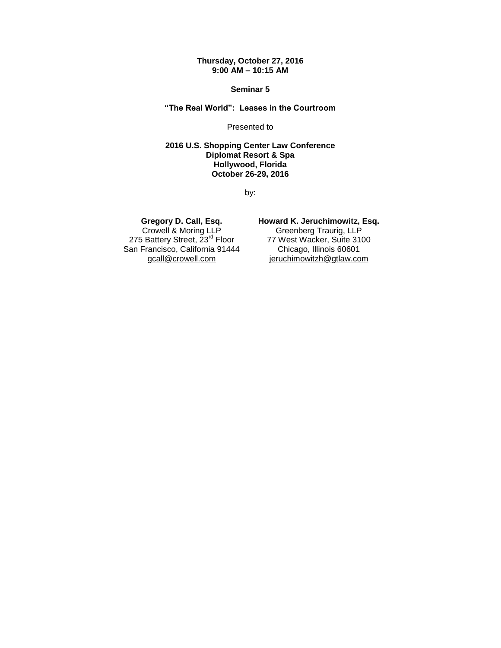#### **Thursday, October 27, 2016 9:00 AM – 10:15 AM**

**Seminar 5**

**"The Real World": Leases in the Courtroom**

Presented to

**2016 U.S. Shopping Center Law Conference Diplomat Resort & Spa Hollywood, Florida October 26-29, 2016**

by:

### **Gregory D. Call, Esq.**

Crowell & Moring LLP 275 Battery Street, 23<sup>rd</sup> Floor San Francisco, California 91444 gcall@crowell.com

**Howard K. Jeruchimowitz, Esq.**

Greenberg Traurig, LLP 77 West Wacker, Suite 3100 Chicago, Illinois 60601 jeruchimowitzh@gtlaw.com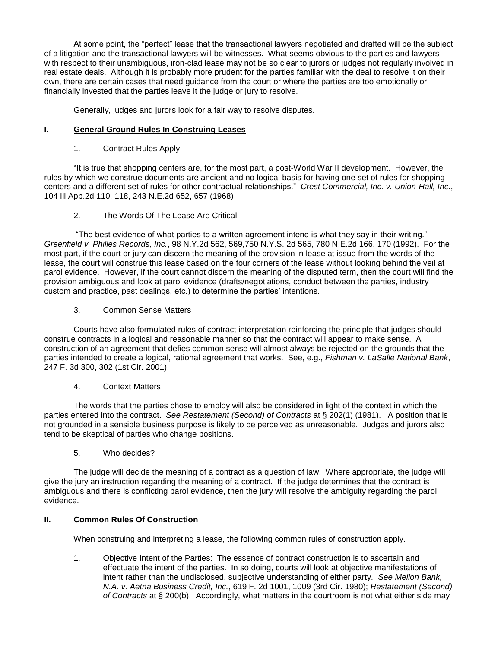At some point, the "perfect" lease that the transactional lawyers negotiated and drafted will be the subject of a litigation and the transactional lawyers will be witnesses. What seems obvious to the parties and lawyers with respect to their unambiguous, iron-clad lease may not be so clear to jurors or judges not regularly involved in real estate deals. Although it is probably more prudent for the parties familiar with the deal to resolve it on their own, there are certain cases that need guidance from the court or where the parties are too emotionally or financially invested that the parties leave it the judge or jury to resolve.

Generally, judges and jurors look for a fair way to resolve disputes.

### **I. General Ground Rules In Construing Leases**

1. Contract Rules Apply

"It is true that shopping centers are, for the most part, a post-World War II development. However, the rules by which we construe documents are ancient and no logical basis for having one set of rules for shopping centers and a different set of rules for other contractual relationships." *Crest Commercial, Inc. v. Union-Hall, Inc.*, 104 Ill.App.2d 110, 118, 243 N.E.2d 652, 657 (1968)

2. The Words Of The Lease Are Critical

"The best evidence of what parties to a written agreement intend is what they say in their writing." *Greenfield v. Philles Records, Inc.*, 98 N.Y.2d 562, 569,750 N.Y.S. 2d 565, 780 N.E.2d 166, 170 (1992). For the most part, if the court or jury can discern the meaning of the provision in lease at issue from the words of the lease, the court will construe this lease based on the four corners of the lease without looking behind the veil at parol evidence. However, if the court cannot discern the meaning of the disputed term, then the court will find the provision ambiguous and look at parol evidence (drafts/negotiations, conduct between the parties, industry custom and practice, past dealings, etc.) to determine the parties' intentions.

3. Common Sense Matters

Courts have also formulated rules of contract interpretation reinforcing the principle that judges should construe contracts in a logical and reasonable manner so that the contract will appear to make sense. A construction of an agreement that defies common sense will almost always be rejected on the grounds that the parties intended to create a logical, rational agreement that works. See, e.g., *Fishman v. LaSalle National Bank*, 247 F. 3d 300, 302 (1st Cir. 2001).

4. Context Matters

The words that the parties chose to employ will also be considered in light of the context in which the parties entered into the contract. *See Restatement (Second) of Contracts* at § 202(1) (1981). A position that is not grounded in a sensible business purpose is likely to be perceived as unreasonable. Judges and jurors also tend to be skeptical of parties who change positions.

5. Who decides?

The judge will decide the meaning of a contract as a question of law. Where appropriate, the judge will give the jury an instruction regarding the meaning of a contract. If the judge determines that the contract is ambiguous and there is conflicting parol evidence, then the jury will resolve the ambiguity regarding the parol evidence.

# **II. Common Rules Of Construction**

When construing and interpreting a lease, the following common rules of construction apply.

1. Objective Intent of the Parties: The essence of contract construction is to ascertain and effectuate the intent of the parties. In so doing, courts will look at objective manifestations of intent rather than the undisclosed, subjective understanding of either party. *See Mellon Bank, N.A. v. Aetna Business Credit, Inc.*, 619 F. 2d 1001, 1009 (3rd Cir. 1980); *Restatement (Second) of Contracts* at § 200(b). Accordingly, what matters in the courtroom is not what either side may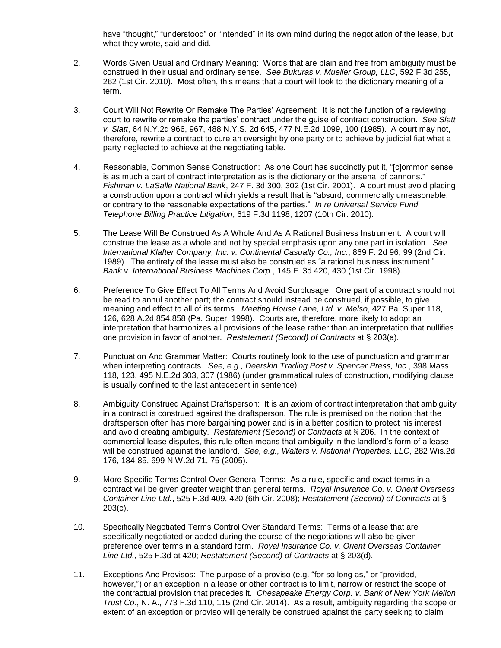have "thought," "understood" or "intended" in its own mind during the negotiation of the lease, but what they wrote, said and did.

- 2. Words Given Usual and Ordinary Meaning: Words that are plain and free from ambiguity must be construed in their usual and ordinary sense. *See Bukuras v. Mueller Group, LLC*, 592 F.3d 255, 262 (1st Cir. 2010). Most often, this means that a court will look to the dictionary meaning of a term.
- 3. Court Will Not Rewrite Or Remake The Parties' Agreement: It is not the function of a reviewing court to rewrite or remake the parties' contract under the guise of contract construction. *See Slatt v. Slatt*, 64 N.Y.2d 966, 967, 488 N.Y.S. 2d 645, 477 N.E.2d 1099, 100 (1985). A court may not, therefore, rewrite a contract to cure an oversight by one party or to achieve by judicial fiat what a party neglected to achieve at the negotiating table.
- 4. Reasonable, Common Sense Construction: As one Court has succinctly put it, "[c]ommon sense is as much a part of contract interpretation as is the dictionary or the arsenal of cannons." *Fishman v. LaSalle National Bank*, 247 F. 3d 300, 302 (1st Cir. 2001). A court must avoid placing a construction upon a contract which yields a result that is "absurd, commercially unreasonable, or contrary to the reasonable expectations of the parties." *In re Universal Service Fund Telephone Billing Practice Litigation*, 619 F.3d 1198, 1207 (10th Cir. 2010).
- 5. The Lease Will Be Construed As A Whole And As A Rational Business Instrument: A court will construe the lease as a whole and not by special emphasis upon any one part in isolation. *See International Klafter Company, Inc. v. Continental Casualty Co., Inc.*, 869 F. 2d 96, 99 (2nd Cir. 1989). The entirety of the lease must also be construed as "a rational business instrument." *Bank v. International Business Machines Corp.*, 145 F. 3d 420, 430 (1st Cir. 1998).
- 6. Preference To Give Effect To All Terms And Avoid Surplusage: One part of a contract should not be read to annul another part; the contract should instead be construed, if possible, to give meaning and effect to all of its terms. *Meeting House Lane, Ltd. v. Melso*, 427 Pa. Super 118, 126, 628 A.2d 854,858 (Pa. Super. 1998). Courts are, therefore, more likely to adopt an interpretation that harmonizes all provisions of the lease rather than an interpretation that nullifies one provision in favor of another. *Restatement (Second) of Contracts* at § 203(a).
- 7. Punctuation And Grammar Matter: Courts routinely look to the use of punctuation and grammar when interpreting contracts. *See, e.g., Deerskin Trading Post v. Spencer Press, Inc.*, 398 Mass. 118, 123, 495 N.E.2d 303, 307 (1986) (under grammatical rules of construction, modifying clause is usually confined to the last antecedent in sentence).
- 8. Ambiguity Construed Against Draftsperson: It is an axiom of contract interpretation that ambiguity in a contract is construed against the draftsperson. The rule is premised on the notion that the draftsperson often has more bargaining power and is in a better position to protect his interest and avoid creating ambiguity. *Restatement (Second) of Contracts* at § 206. In the context of commercial lease disputes, this rule often means that ambiguity in the landlord's form of a lease will be construed against the landlord. *See, e.g., Walters v. National Properties, LLC*, 282 Wis.2d 176, 184-85, 699 N.W.2d 71, 75 (2005).
- 9. More Specific Terms Control Over General Terms: As a rule, specific and exact terms in a contract will be given greater weight than general terms. *Royal Insurance Co. v. Orient Overseas Container Line Ltd.*, 525 F.3d 409, 420 (6th Cir. 2008); *Restatement (Second) of Contracts* at § 203(c).
- 10. Specifically Negotiated Terms Control Over Standard Terms: Terms of a lease that are specifically negotiated or added during the course of the negotiations will also be given preference over terms in a standard form. *Royal Insurance Co. v. Orient Overseas Container Line Ltd.*, 525 F.3d at 420; *Restatement (Second) of Contracts* at § 203(d).
- 11. Exceptions And Provisos: The purpose of a proviso (e.g. "for so long as," or "provided, however,") or an exception in a lease or other contract is to limit, narrow or restrict the scope of the contractual provision that precedes it. *Chesapeake Energy Corp. v. Bank of New York Mellon Trust Co.*, N. A., 773 F.3d 110, 115 (2nd Cir. 2014). As a result, ambiguity regarding the scope or extent of an exception or proviso will generally be construed against the party seeking to claim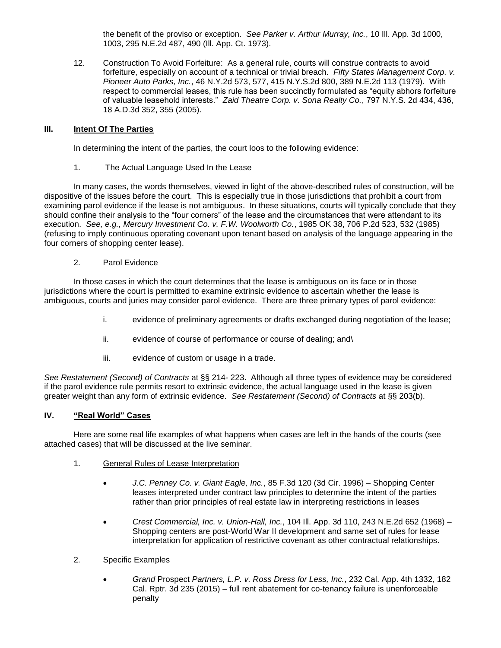the benefit of the proviso or exception. *See Parker v. Arthur Murray, Inc.*, 10 Ill. App. 3d 1000, 1003, 295 N.E.2d 487, 490 (Ill. App. Ct. 1973).

12. Construction To Avoid Forfeiture: As a general rule, courts will construe contracts to avoid forfeiture, especially on account of a technical or trivial breach. *Fifty States Management Corp. v. Pioneer Auto Parks, Inc.*, 46 N.Y.2d 573, 577, 415 N.Y.S.2d 800, 389 N.E.2d 113 (1979). With respect to commercial leases, this rule has been succinctly formulated as "equity abhors forfeiture of valuable leasehold interests." *Zaid Theatre Corp. v. Sona Realty Co.*, 797 N.Y.S. 2d 434, 436, 18 A.D.3d 352, 355 (2005).

# **III. Intent Of The Parties**

In determining the intent of the parties, the court loos to the following evidence:

1. The Actual Language Used In the Lease

In many cases, the words themselves, viewed in light of the above-described rules of construction, will be dispositive of the issues before the court. This is especially true in those jurisdictions that prohibit a court from examining parol evidence if the lease is not ambiguous. In these situations, courts will typically conclude that they should confine their analysis to the "four corners" of the lease and the circumstances that were attendant to its execution. *See, e.g., Mercury Investment Co. v. F.W. Woolworth Co.*, 1985 OK 38, 706 P.2d 523, 532 (1985) (refusing to imply continuous operating covenant upon tenant based on analysis of the language appearing in the four corners of shopping center lease).

2. Parol Evidence

In those cases in which the court determines that the lease is ambiguous on its face or in those jurisdictions where the court is permitted to examine extrinsic evidence to ascertain whether the lease is ambiguous, courts and juries may consider parol evidence. There are three primary types of parol evidence:

- i. evidence of preliminary agreements or drafts exchanged during negotiation of the lease;
- ii. evidence of course of performance or course of dealing; and\
- iii. evidence of custom or usage in a trade.

*See Restatement (Second) of Contracts* at §§ 214- 223. Although all three types of evidence may be considered if the parol evidence rule permits resort to extrinsic evidence, the actual language used in the lease is given greater weight than any form of extrinsic evidence. *See Restatement (Second) of Contracts* at §§ 203(b).

# **IV. "Real World" Cases**

Here are some real life examples of what happens when cases are left in the hands of the courts (see attached cases) that will be discussed at the live seminar.

- 1. General Rules of Lease Interpretation
	- *J.C. Penney Co. v. Giant Eagle, Inc.*, 85 F.3d 120 (3d Cir. 1996) Shopping Center leases interpreted under contract law principles to determine the intent of the parties rather than prior principles of real estate law in interpreting restrictions in leases
	- *Crest Commercial, Inc. v. Union-Hall, Inc.*, 104 Ill. App. 3d 110, 243 N.E.2d 652 (1968) Shopping centers are post-World War II development and same set of rules for lease interpretation for application of restrictive covenant as other contractual relationships.
- 2. Specific Examples
	- *Grand* Prospect *Partners, L.P. v. Ross Dress for Less, Inc.*, 232 Cal. App. 4th 1332, 182 Cal. Rptr. 3d 235 (2015) – full rent abatement for co-tenancy failure is unenforceable penalty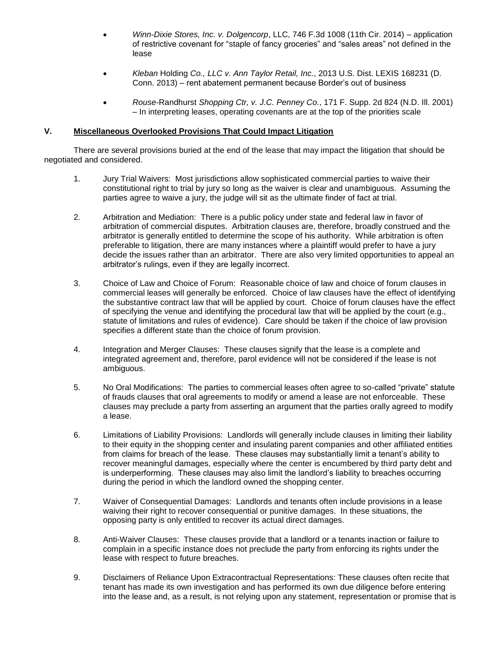- *Winn-Dixie Stores, Inc. v. Dolgencorp*, LLC, 746 F.3d 1008 (11th Cir. 2014) application of restrictive covenant for "staple of fancy groceries" and "sales areas" not defined in the lease
- *Kleban* Holding *Co., LLC v. Ann Taylor Retail, Inc.*, 2013 U.S. Dist. LEXIS 168231 (D. Conn. 2013) – rent abatement permanent because Border's out of business
- *Rouse-*Randhurst *Shopping Ctr, v. J.C. Penney Co.*, 171 F. Supp. 2d 824 (N.D. Ill. 2001) – In interpreting leases, operating covenants are at the top of the priorities scale

### **V. Miscellaneous Overlooked Provisions That Could Impact Litigation**

There are several provisions buried at the end of the lease that may impact the litigation that should be negotiated and considered.

- 1. Jury Trial Waivers: Most jurisdictions allow sophisticated commercial parties to waive their constitutional right to trial by jury so long as the waiver is clear and unambiguous. Assuming the parties agree to waive a jury, the judge will sit as the ultimate finder of fact at trial.
- 2. Arbitration and Mediation: There is a public policy under state and federal law in favor of arbitration of commercial disputes. Arbitration clauses are, therefore, broadly construed and the arbitrator is generally entitled to determine the scope of his authority. While arbitration is often preferable to litigation, there are many instances where a plaintiff would prefer to have a jury decide the issues rather than an arbitrator. There are also very limited opportunities to appeal an arbitrator's rulings, even if they are legally incorrect.
- 3. Choice of Law and Choice of Forum: Reasonable choice of law and choice of forum clauses in commercial leases will generally be enforced. Choice of law clauses have the effect of identifying the substantive contract law that will be applied by court. Choice of forum clauses have the effect of specifying the venue and identifying the procedural law that will be applied by the court (e.g., statute of limitations and rules of evidence). Care should be taken if the choice of law provision specifies a different state than the choice of forum provision.
- 4. Integration and Merger Clauses: These clauses signify that the lease is a complete and integrated agreement and, therefore, parol evidence will not be considered if the lease is not ambiguous.
- 5. No Oral Modifications: The parties to commercial leases often agree to so-called "private" statute of frauds clauses that oral agreements to modify or amend a lease are not enforceable. These clauses may preclude a party from asserting an argument that the parties orally agreed to modify a lease.
- 6. Limitations of Liability Provisions: Landlords will generally include clauses in limiting their liability to their equity in the shopping center and insulating parent companies and other affiliated entities from claims for breach of the lease. These clauses may substantially limit a tenant's ability to recover meaningful damages, especially where the center is encumbered by third party debt and is underperforming. These clauses may also limit the landlord's liability to breaches occurring during the period in which the landlord owned the shopping center.
- 7. Waiver of Consequential Damages: Landlords and tenants often include provisions in a lease waiving their right to recover consequential or punitive damages. In these situations, the opposing party is only entitled to recover its actual direct damages.
- 8. Anti-Waiver Clauses: These clauses provide that a landlord or a tenants inaction or failure to complain in a specific instance does not preclude the party from enforcing its rights under the lease with respect to future breaches.
- 9. Disclaimers of Reliance Upon Extracontractual Representations: These clauses often recite that tenant has made its own investigation and has performed its own due diligence before entering into the lease and, as a result, is not relying upon any statement, representation or promise that is